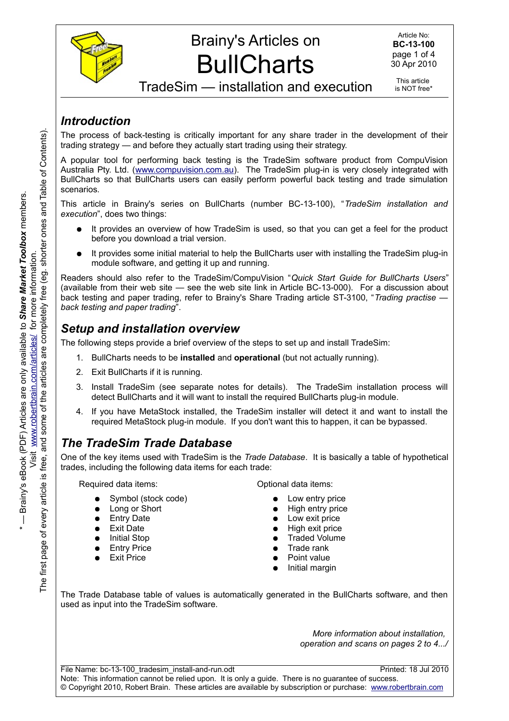

# Brainy's Articles on **BullCharts**

TradeSim — installation and execution

This article is NOT free\*

#### *Introduction*

The process of back-testing is critically important for any share trader in the development of their trading strategy — and before they actually start trading using their strategy.

A popular tool for performing back testing is the TradeSim software product from CompuVision Australia Pty. Ltd. [\(www.compuvision.com.au\)](http://www.compuvision.com.au/). The TradeSim plug-in is very closely integrated with BullCharts so that BullCharts users can easily perform powerful back testing and trade simulation scenarios.

This article in Brainy's series on BullCharts (number BC-13-100), "*TradeSim installation and execution*", does two things:

- It provides an overview of how TradeSim is used, so that you can get a feel for the product before you download a trial version.
- It provides some initial material to help the BullCharts user with installing the TradeSim plug-in module software, and getting it up and running.

Readers should also refer to the TradeSim/CompuVision "*Quick Start Guide for BullCharts Users*" (available from their web site — see the web site link in Article BC-13-000). For a discussion about back testing and paper trading, refer to Brainy's Share Trading article ST-3100, "*Trading practise back testing and paper trading*".

#### *Setup and installation overview*

The following steps provide a brief overview of the steps to set up and install TradeSim:

- 1. BullCharts needs to be **installed** and **operational** (but not actually running).
- 2. Exit BullCharts if it is running.
- 3. Install TradeSim (see separate notes for details). The TradeSim installation process will detect BullCharts and it will want to install the required BullCharts plug-in module.
- 4. If you have MetaStock installed, the TradeSim installer will detect it and want to install the required MetaStock plug-in module. If you don't want this to happen, it can be bypassed.

### *The TradeSim Trade Database*

One of the key items used with TradeSim is the *Trade Database*. It is basically a table of hypothetical trades, including the following data items for each trade:

Required data items:

- Symbol (stock code)
- Long or Short
- **Entry Date**
- **Exit Date**
- **Initial Stop**
- **Entry Price**
- **Exit Price**

Optional data items:

- Low entry price
- **High entry price**
- Low exit price
- **High exit price**
- **Traded Volume**
- **Trade rank**
- Point value
- Initial margin

The Trade Database table of values is automatically generated in the BullCharts software, and then used as input into the TradeSim software.

> *More information about installation, operation and scans on pages 2 to 4.../*

File Name: bc-13-100 tradesim install-and-run.odt Printed: 18 Jul 2010 Note: This information cannot be relied upon. It is only a guide. There is no guarantee of success. © Copyright 2010, Robert Brain. These articles are available by subscription or purchase: [www.robertbrain.com](http://www.robertbrain.com/)

e<br>E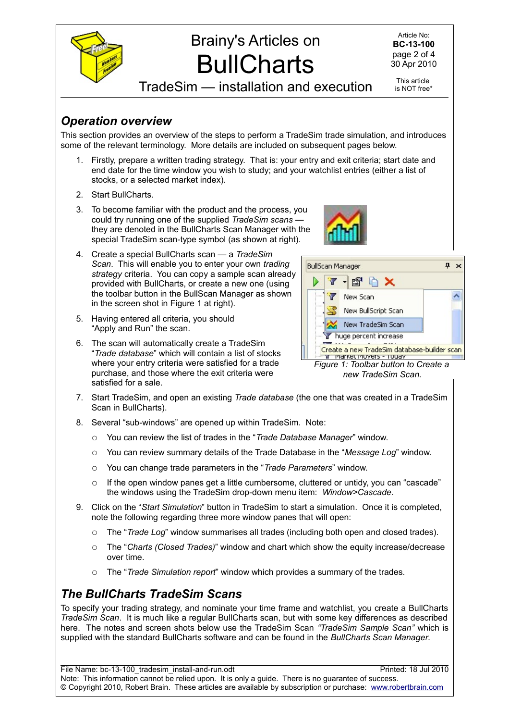

#### *Operation overview*

This section provides an overview of the steps to perform a TradeSim trade simulation, and introduces some of the relevant terminology. More details are included on subsequent pages below.

- 3. To become familiar with the product and the process, you could try running one of the supplied *TradeSim scans* they are denoted in the BullCharts Scan Manager with the special TradeSim scan-type symbol (as shown at right).
- 4. Create a special BullCharts scan a *TradeSim Scan*. This will enable you to enter your own *trading strategy* criteria. You can copy a sample scan already provided with BullCharts, or create a new one (using the toolbar button in the BullScan Manager as shown in the screen shot in Figure [1](#page-1-0) at right).
- 5. Having entered all criteria, you should "Apply and Run" the scan.
- 6. The scan will automatically create a TradeSim "*Trade database*" which will contain a list of stocks where your entry criteria were satisfied for a trade purchase, and those where the exit criteria were satisfied for a sale.



<span id="page-1-0"></span>

*Figure 1: Toolbar button to Create a new TradeSim Scan.*

- 7. Start TradeSim, and open an existing *Trade database* (the one that was created in a TradeSim Scan in BullCharts).
- 8. Several "sub-windows" are opened up within TradeSim. Note:
	- You can review the list of trades in the "*Trade Database Manager*" window.
	- You can review summary details of the Trade Database in the "*Message Log*" window.
	- You can change trade parameters in the "*Trade Parameters*" window.
	- If the open window panes get a little cumbersome, cluttered or untidy, you can "cascade" the windows using the TradeSim drop-down menu item: *Window>Cascade*.
- 9. Click on the "*Start Simulation*" button in TradeSim to start a simulation. Once it is completed, note the following regarding three more window panes that will open:
	- The "*Trade Log*" window summarises all trades (including both open and closed trades).
	- The "*Charts (Closed Trades)*" window and chart which show the equity increase/decrease over time.
	- The "*Trade Simulation report*" window which provides a summary of the trades.

### *The BullCharts TradeSim Scans*

To specify your trading strategy, and nominate your time frame and watchlist, you create a BullCharts *TradeSim Scan*. It is much like a regular BullCharts scan, but with some key differences as described here. The notes and screen shots below use the TradeSim Scan *"TradeSim Sample Scan"* which is supplied with the standard BullCharts software and can be found in the *BullCharts Scan Manager*.

File Name: bc-13-100 tradesim install-and-run.odt Printed: 18 Jul 2010 Note: This information cannot be relied upon. It is only a guide. There is no guarantee of success. © Copyright 2010, Robert Brain. These articles are available by subscription or purchase: [www.robertbrain.com](http://www.robertbrain.com/)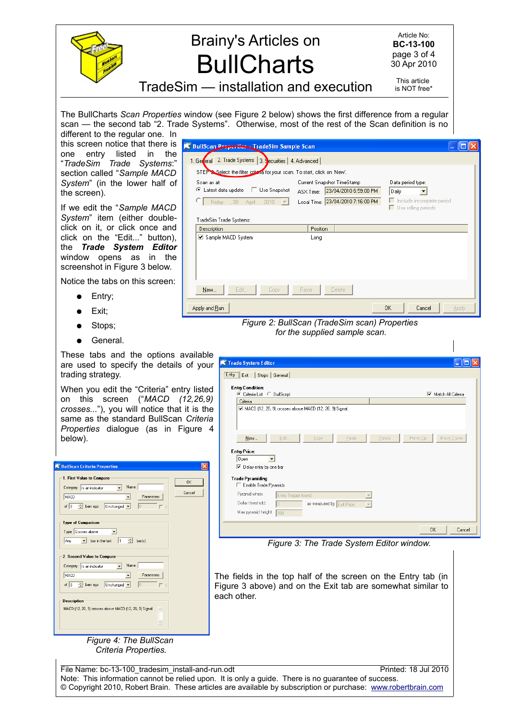

# Brainy's Articles on **BullCharts**

Article No: **BC-13-100** page 3 of 4 30 Apr 2010

TradeSim — installation and execution

This article is NOT free\*

Data period type:

Use rolling periods

 $\vert$ Include incomplete period

Daily

The BullCharts *Scan Properties* window (see Figure [2](#page-2-2) below) shows the first difference from a regular scan — the second tab "2. Trade Systems". Otherwise, most of the rest of the Scan definition is no

1. General 2. Trade Systems 3. Securities | 4. Advanced |

● Latest data update □ Use Snapshot

Scan as at:

New...

Apply and Run

TradeSim Trade Systems: Description

Sample MACD System

Edit

STEP & Select the filter criteria for your scan. To start, click on 'New'.

C Friday 30 April 2010 v Local Time: 23/04/2010 7:16:00 PM

different to the regular one. In this screen notice that there is **K** BullScan **Preperties** TradeSim Sample Scan one entry listed in the "*TradeSim Trade Systems*:" section called "*Sample MACD System*" (in the lower half of the screen).

If we edit the "*Sample MACD System*" item (either doubleclick on it, or click once and click on the "Edit..." button), the *Trade System Editor* window opens as in the screenshot in Figure [3](#page-2-0) below.

Notice the tabs on this screen:

- Entry;
- Exit;
- Stops;
- General.

These tabs and the options available are used to specify the details of your trading strategy.

When you edit the "Criteria" entry listed on this screen ("*MACD (12,26,9) crosses...*"), you will notice that it is the same as the standard BullScan *Criteria Properties* dialogue (as in Figure [4](#page-2-1) below).

| <b>K</b> BullScan Criteria Properties                                                                               |        |
|---------------------------------------------------------------------------------------------------------------------|--------|
| 1. First Value to Compare                                                                                           |        |
| Name:<br>Category: Is an indicator<br>$\blacktriangledown$                                                          | 0K     |
| Parameters<br>MACD                                                                                                  | Cancel |
| of $\boxed{0}$ $\rightarrow$ bars ago<br>Unchanged v<br>0<br>$-$ %                                                  |        |
| <b>Type of Comparison</b><br>Type: Crosses above<br>÷<br>I1<br>bar in the last<br>Any<br>bar[s]                     |        |
| 2. Second Value to Compare<br>Name:                                                                                 |        |
| Category: Is an indicator                                                                                           |        |
| MACD<br>Parameters                                                                                                  |        |
| $\div$ bars ago<br>Unchanged v<br>of $ 0 $<br>lo<br>$-$ %                                                           |        |
| <b>Description</b><br>MACD (12, 26, 9) crosses above MACD (12, 26, 9) Signal.<br>$\curvearrowright$<br>$\checkmark$ |        |

<span id="page-2-1"></span>*Figure 4: The BullScan Criteria Properties.*

|                                               | Cancel |
|-----------------------------------------------|--------|
| Figure 2: BullScan (TradeSim scan) Properties |        |

Delete

Current Snapshot TimeStamp

Position

Long

Paste

ASX Time: 23/04/2010 6:59:00 PM

<span id="page-2-2"></span>*for the supplied sample scan.*

|                         | C Criteria List C BullScript                            |                           |       |               |         | Match All Criteria |
|-------------------------|---------------------------------------------------------|---------------------------|-------|---------------|---------|--------------------|
| Criteria                |                                                         |                           |       |               |         |                    |
|                         | MACD (12, 26, 9) crosses above MACD (12, 26, 9) Signal. |                           |       |               |         |                    |
|                         |                                                         |                           |       |               |         |                    |
|                         |                                                         |                           |       |               |         |                    |
| New                     | Edit                                                    | Copy                      | Paste | <b>Delete</b> | Move Up | Move Down          |
|                         |                                                         |                           |       |               |         |                    |
| <b>Entry Price:</b>     |                                                         |                           |       |               |         |                    |
| Open                    |                                                         |                           |       |               |         |                    |
| Delay entry by one bar  |                                                         |                           |       |               |         |                    |
|                         |                                                         |                           |       |               |         |                    |
| <b>Trade Pyramiding</b> |                                                         |                           |       |               |         |                    |
| Enable Trade Pyramids   |                                                         |                           |       |               |         |                    |
|                         |                                                         |                           |       |               |         |                    |
| Pyramid when:           | Entry Trigger found                                     |                           |       |               |         |                    |
| Dollar threshold:       | O                                                       | as measured by Exit Price |       |               |         |                    |

<span id="page-2-0"></span>*Figure 3: The Trade System Editor window.*

The fields in the top half of the screen on the Entry tab (in Figure [3](#page-2-0) above) and on the Exit tab are somewhat similar to each other.

File Name: bc-13-100 tradesim install-and-run.odt Printed: 18 Jul 2010 Note: This information cannot be relied upon. It is only a guide. There is no guarantee of success. © Copyright 2010, Robert Brain. These articles are available by subscription or purchase: [www.robertbrain.com](http://www.robertbrain.com/)